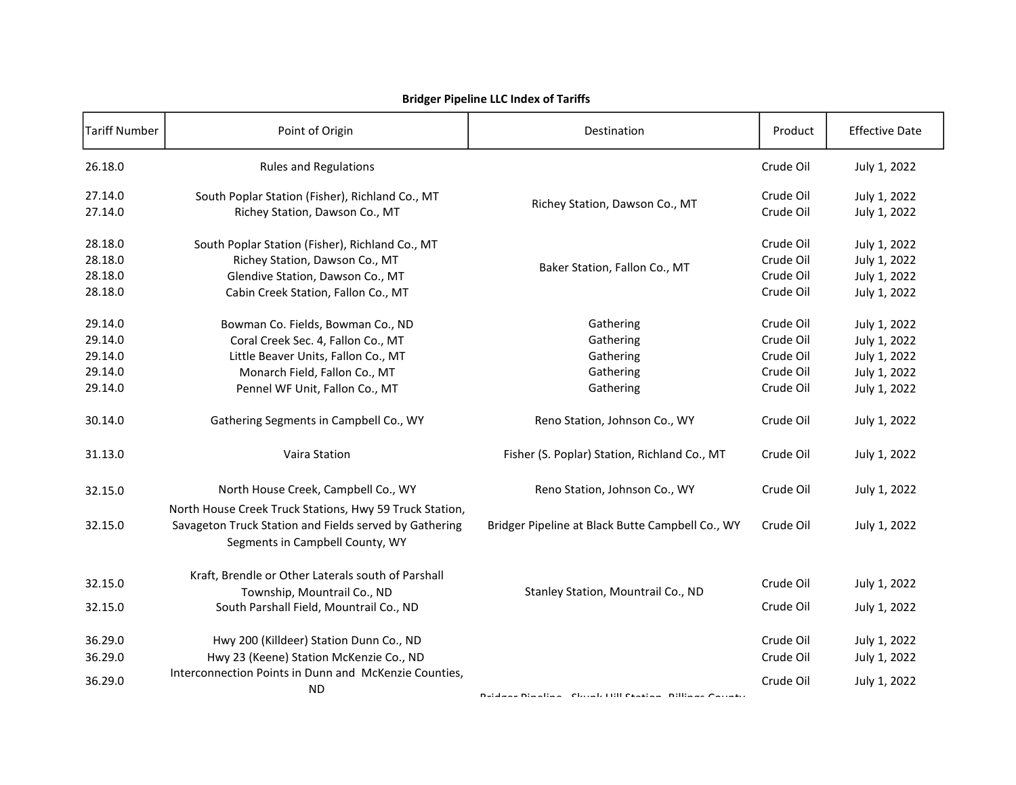| <b>Tariff Number</b>                                | Point of Origin                                                                                                                                                                   | Destination                                                   | Product                                                       | <b>Effective Date</b>                                                        |
|-----------------------------------------------------|-----------------------------------------------------------------------------------------------------------------------------------------------------------------------------------|---------------------------------------------------------------|---------------------------------------------------------------|------------------------------------------------------------------------------|
| 26.18.0                                             | <b>Rules and Regulations</b>                                                                                                                                                      |                                                               | Crude Oil                                                     | July 1, 2022                                                                 |
| 27.14.0<br>27.14.0                                  | South Poplar Station (Fisher), Richland Co., MT<br>Richey Station, Dawson Co., MT                                                                                                 | Richey Station, Dawson Co., MT                                | Crude Oil<br>Crude Oil                                        | July 1, 2022<br>July 1, 2022                                                 |
| 28.18.0<br>28.18.0<br>28.18.0<br>28.18.0            | South Poplar Station (Fisher), Richland Co., MT<br>Richey Station, Dawson Co., MT<br>Glendive Station, Dawson Co., MT<br>Cabin Creek Station, Fallon Co., MT                      | Baker Station, Fallon Co., MT                                 | Crude Oil<br>Crude Oil<br>Crude Oil<br>Crude Oil              | July 1, 2022<br>July 1, 2022<br>July 1, 2022<br>July 1, 2022                 |
| 29.14.0<br>29.14.0<br>29.14.0<br>29.14.0<br>29.14.0 | Bowman Co. Fields, Bowman Co., ND<br>Coral Creek Sec. 4, Fallon Co., MT<br>Little Beaver Units, Fallon Co., MT<br>Monarch Field, Fallon Co., MT<br>Pennel WF Unit, Fallon Co., MT | Gathering<br>Gathering<br>Gathering<br>Gathering<br>Gathering | Crude Oil<br>Crude Oil<br>Crude Oil<br>Crude Oil<br>Crude Oil | July 1, 2022<br>July 1, 2022<br>July 1, 2022<br>July 1, 2022<br>July 1, 2022 |
| 30.14.0                                             | Gathering Segments in Campbell Co., WY                                                                                                                                            | Reno Station, Johnson Co., WY                                 | Crude Oil                                                     | July 1, 2022                                                                 |
| 31.13.0                                             | Vaira Station                                                                                                                                                                     | Fisher (S. Poplar) Station, Richland Co., MT                  | Crude Oil                                                     | July 1, 2022                                                                 |
| 32.15.0                                             | North House Creek, Campbell Co., WY<br>North House Creek Truck Stations, Hwy 59 Truck Station,                                                                                    | Reno Station, Johnson Co., WY                                 | Crude Oil                                                     | July 1, 2022                                                                 |
| 32.15.0                                             | Savageton Truck Station and Fields served by Gathering<br>Segments in Campbell County, WY                                                                                         | Bridger Pipeline at Black Butte Campbell Co., WY              | Crude Oil                                                     | July 1, 2022                                                                 |
| 32.15.0                                             | Kraft, Brendle or Other Laterals south of Parshall<br>Township, Mountrail Co., ND                                                                                                 | Stanley Station, Mountrail Co., ND                            | Crude Oil                                                     | July 1, 2022                                                                 |
| 32.15.0                                             | South Parshall Field, Mountrail Co., ND                                                                                                                                           |                                                               | Crude Oil                                                     | July 1, 2022                                                                 |
| 36.29.0<br>36.29.0                                  | Hwy 200 (Killdeer) Station Dunn Co., ND<br>Hwy 23 (Keene) Station McKenzie Co., ND                                                                                                |                                                               | Crude Oil<br>Crude Oil                                        | July 1, 2022<br>July 1, 2022                                                 |
| 36.29.0                                             | Interconnection Points in Dunn and McKenzie Counties,<br><b>ND</b>                                                                                                                | Baldway Blooding - Chinak Hill Chatlan - Billiams Carnato     | Crude Oil                                                     | July 1, 2022                                                                 |

## Bridger Pipeline LLC Index of Tariffs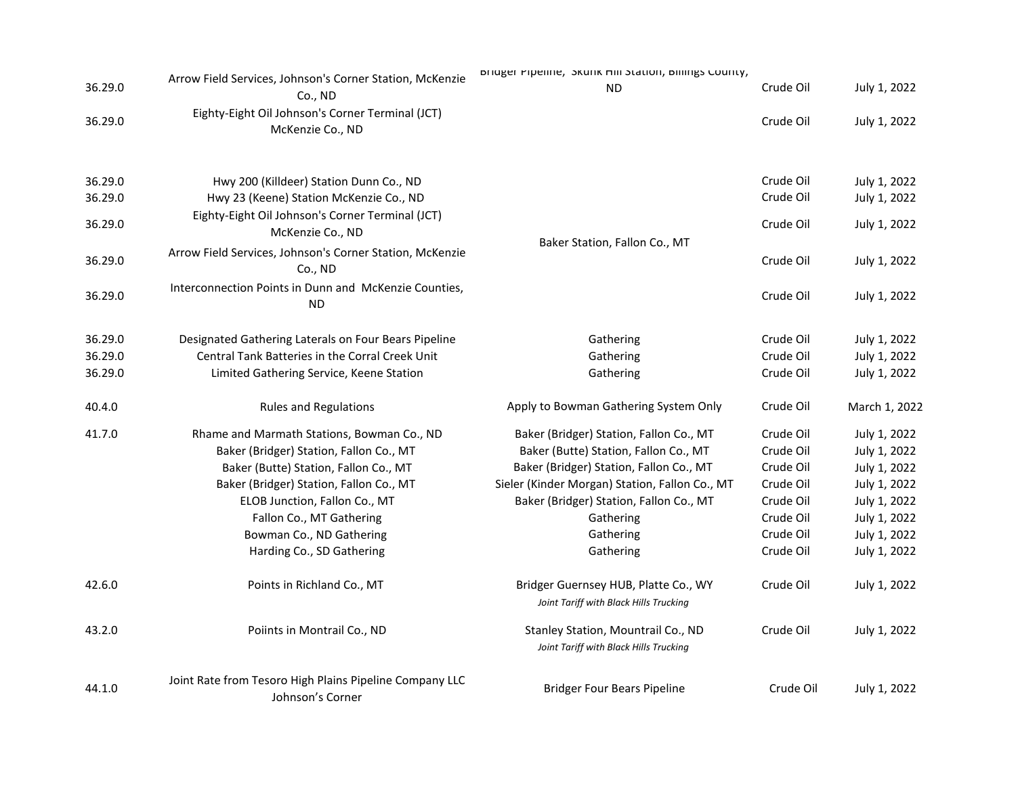| 36.29.0 | Arrow Field Services, Johnson's Corner Station, McKenzie<br>Co., ND         | Bridger Pipeline, Skurik Hill Station, Billings County,<br><b>ND</b>           | Crude Oil | July 1, 2022  |
|---------|-----------------------------------------------------------------------------|--------------------------------------------------------------------------------|-----------|---------------|
| 36.29.0 | Eighty-Eight Oil Johnson's Corner Terminal (JCT)<br>McKenzie Co., ND        |                                                                                | Crude Oil | July 1, 2022  |
| 36.29.0 | Hwy 200 (Killdeer) Station Dunn Co., ND                                     |                                                                                | Crude Oil | July 1, 2022  |
| 36.29.0 | Hwy 23 (Keene) Station McKenzie Co., ND                                     |                                                                                | Crude Oil | July 1, 2022  |
| 36.29.0 | Eighty-Eight Oil Johnson's Corner Terminal (JCT)<br>McKenzie Co., ND        |                                                                                | Crude Oil | July 1, 2022  |
| 36.29.0 | Arrow Field Services, Johnson's Corner Station, McKenzie<br>Co., ND         | Baker Station, Fallon Co., MT                                                  | Crude Oil | July 1, 2022  |
| 36.29.0 | Interconnection Points in Dunn and McKenzie Counties,<br>ND                 |                                                                                | Crude Oil | July 1, 2022  |
| 36.29.0 | Designated Gathering Laterals on Four Bears Pipeline                        | Gathering                                                                      | Crude Oil | July 1, 2022  |
| 36.29.0 | <b>Central Tank Batteries in the Corral Creek Unit</b>                      | Gathering                                                                      | Crude Oil | July 1, 2022  |
| 36.29.0 | Limited Gathering Service, Keene Station                                    | Gathering                                                                      | Crude Oil | July 1, 2022  |
| 40.4.0  | <b>Rules and Regulations</b>                                                | Apply to Bowman Gathering System Only                                          | Crude Oil | March 1, 2022 |
| 41.7.0  | Rhame and Marmath Stations, Bowman Co., ND                                  | Baker (Bridger) Station, Fallon Co., MT                                        | Crude Oil | July 1, 2022  |
|         | Baker (Bridger) Station, Fallon Co., MT                                     | Baker (Butte) Station, Fallon Co., MT                                          | Crude Oil | July 1, 2022  |
|         | Baker (Butte) Station, Fallon Co., MT                                       | Baker (Bridger) Station, Fallon Co., MT                                        | Crude Oil | July 1, 2022  |
|         | Baker (Bridger) Station, Fallon Co., MT                                     | Sieler (Kinder Morgan) Station, Fallon Co., MT                                 | Crude Oil | July 1, 2022  |
|         | ELOB Junction, Fallon Co., MT                                               | Baker (Bridger) Station, Fallon Co., MT                                        | Crude Oil | July 1, 2022  |
|         | Fallon Co., MT Gathering                                                    | Gathering                                                                      | Crude Oil | July 1, 2022  |
|         | Bowman Co., ND Gathering                                                    | Gathering                                                                      | Crude Oil | July 1, 2022  |
|         | Harding Co., SD Gathering                                                   | Gathering                                                                      | Crude Oil | July 1, 2022  |
| 42.6.0  | Points in Richland Co., MT                                                  | Bridger Guernsey HUB, Platte Co., WY<br>Joint Tariff with Black Hills Trucking | Crude Oil | July 1, 2022  |
| 43.2.0  | Poiints in Montrail Co., ND                                                 | Stanley Station, Mountrail Co., ND<br>Joint Tariff with Black Hills Trucking   | Crude Oil | July 1, 2022  |
| 44.1.0  | Joint Rate from Tesoro High Plains Pipeline Company LLC<br>Johnson's Corner | <b>Bridger Four Bears Pipeline</b>                                             | Crude Oil | July 1, 2022  |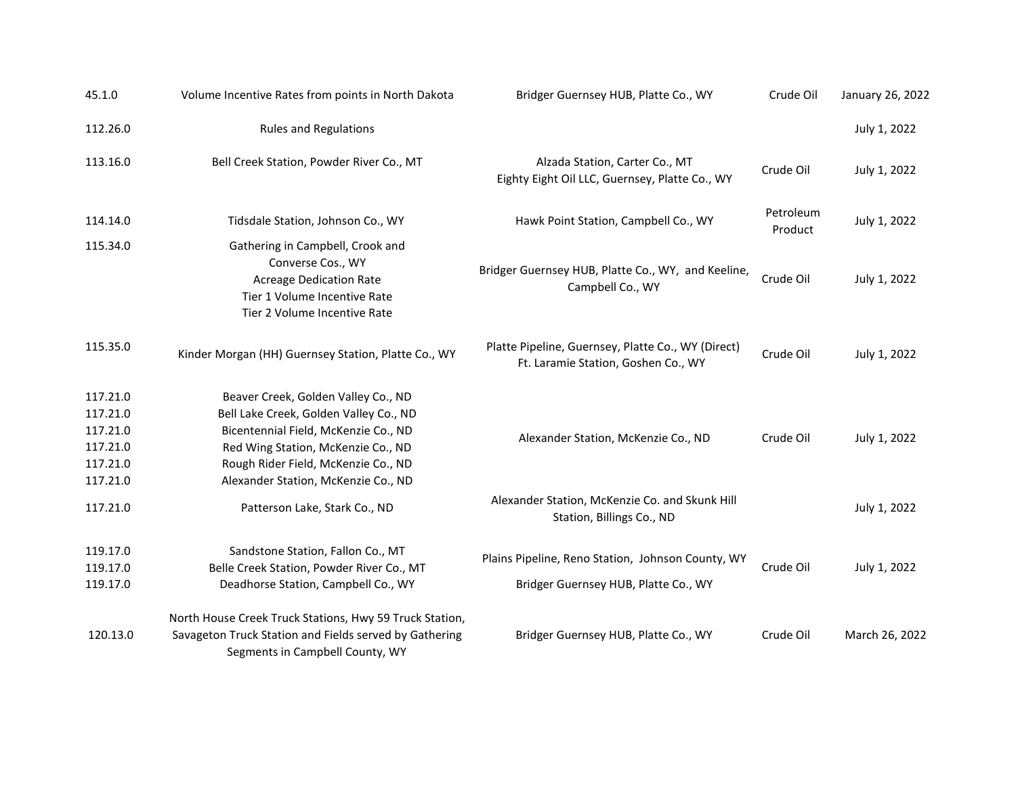| 45.1.0                                                               | Volume Incentive Rates from points in North Dakota                                                                                                                                                                                        | Bridger Guernsey HUB, Platte Co., WY                                                      | Crude Oil            | January 26, 2022 |
|----------------------------------------------------------------------|-------------------------------------------------------------------------------------------------------------------------------------------------------------------------------------------------------------------------------------------|-------------------------------------------------------------------------------------------|----------------------|------------------|
| 112.26.0                                                             | <b>Rules and Regulations</b>                                                                                                                                                                                                              |                                                                                           |                      | July 1, 2022     |
| 113.16.0                                                             | Bell Creek Station, Powder River Co., MT                                                                                                                                                                                                  | Alzada Station, Carter Co., MT<br>Eighty Eight Oil LLC, Guernsey, Platte Co., WY          | Crude Oil            | July 1, 2022     |
| 114.14.0                                                             | Tidsdale Station, Johnson Co., WY                                                                                                                                                                                                         | Hawk Point Station, Campbell Co., WY                                                      | Petroleum<br>Product | July 1, 2022     |
| 115.34.0                                                             | Gathering in Campbell, Crook and<br>Converse Cos., WY<br><b>Acreage Dedication Rate</b><br>Tier 1 Volume Incentive Rate<br>Tier 2 Volume Incentive Rate                                                                                   | Bridger Guernsey HUB, Platte Co., WY, and Keeline,<br>Campbell Co., WY                    | Crude Oil            | July 1, 2022     |
| 115.35.0                                                             | Kinder Morgan (HH) Guernsey Station, Platte Co., WY                                                                                                                                                                                       | Platte Pipeline, Guernsey, Platte Co., WY (Direct)<br>Ft. Laramie Station, Goshen Co., WY | Crude Oil            | July 1, 2022     |
| 117.21.0<br>117.21.0<br>117.21.0<br>117.21.0<br>117.21.0<br>117.21.0 | Beaver Creek, Golden Valley Co., ND<br>Bell Lake Creek, Golden Valley Co., ND<br>Bicentennial Field, McKenzie Co., ND<br>Red Wing Station, McKenzie Co., ND<br>Rough Rider Field, McKenzie Co., ND<br>Alexander Station, McKenzie Co., ND | Alexander Station, McKenzie Co., ND                                                       | Crude Oil            | July 1, 2022     |
| 117.21.0                                                             | Patterson Lake, Stark Co., ND                                                                                                                                                                                                             | Alexander Station, McKenzie Co. and Skunk Hill<br>Station, Billings Co., ND               |                      | July 1, 2022     |
| 119.17.0<br>119.17.0<br>119.17.0                                     | Sandstone Station, Fallon Co., MT<br>Belle Creek Station, Powder River Co., MT<br>Deadhorse Station, Campbell Co., WY                                                                                                                     | Plains Pipeline, Reno Station, Johnson County, WY<br>Bridger Guernsey HUB, Platte Co., WY | Crude Oil            | July 1, 2022     |
| 120.13.0                                                             | North House Creek Truck Stations, Hwy 59 Truck Station,<br>Savageton Truck Station and Fields served by Gathering<br>Segments in Campbell County, WY                                                                                      | Bridger Guernsey HUB, Platte Co., WY                                                      | Crude Oil            | March 26, 2022   |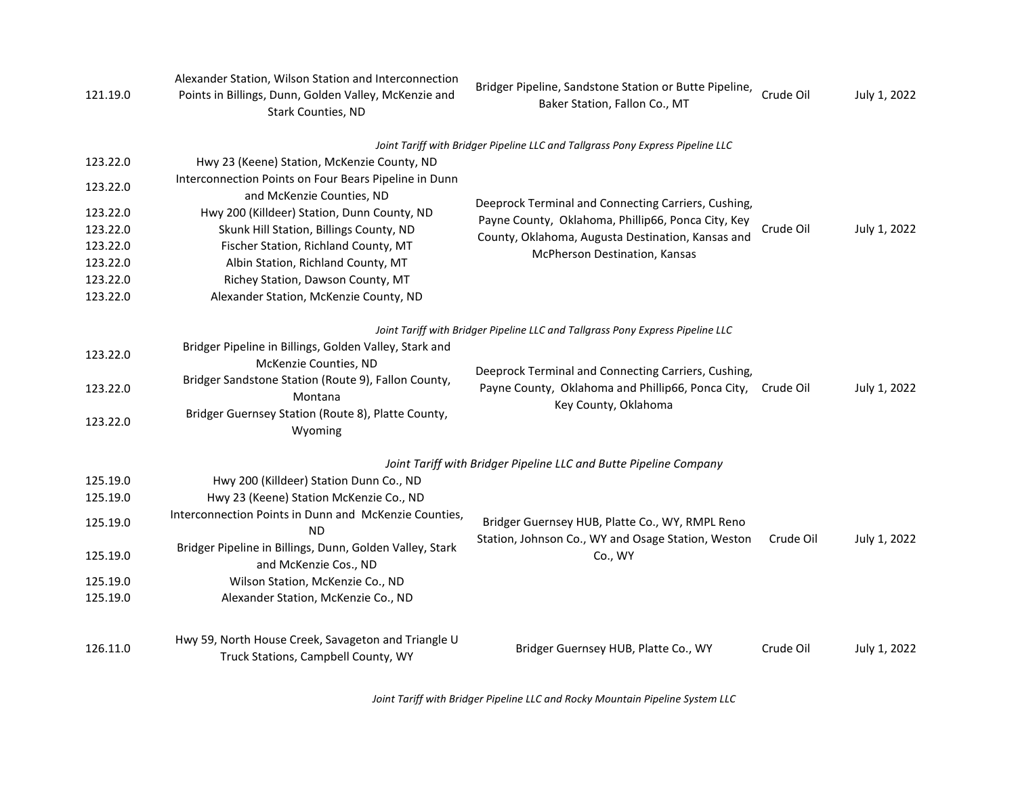| 121.19.0 | Alexander Station, Wilson Station and Interconnection<br>Points in Billings, Dunn, Golden Valley, McKenzie and<br>Stark Counties, ND | Bridger Pipeline, Sandstone Station or Butte Pipeline,<br>Baker Station, Fallon Co., MT                                          | Crude Oil | July 1, 2022 |
|----------|--------------------------------------------------------------------------------------------------------------------------------------|----------------------------------------------------------------------------------------------------------------------------------|-----------|--------------|
|          |                                                                                                                                      | Joint Tariff with Bridger Pipeline LLC and Tallgrass Pony Express Pipeline LLC                                                   |           |              |
| 123.22.0 | Hwy 23 (Keene) Station, McKenzie County, ND                                                                                          |                                                                                                                                  |           |              |
| 123.22.0 | Interconnection Points on Four Bears Pipeline in Dunn<br>and McKenzie Counties, ND                                                   | Deeprock Terminal and Connecting Carriers, Cushing,                                                                              |           |              |
| 123.22.0 | Hwy 200 (Killdeer) Station, Dunn County, ND                                                                                          | Payne County, Oklahoma, Phillip66, Ponca City, Key                                                                               |           | July 1, 2022 |
| 123.22.0 | Skunk Hill Station, Billings County, ND                                                                                              | County, Oklahoma, Augusta Destination, Kansas and                                                                                | Crude Oil |              |
| 123.22.0 | Fischer Station, Richland County, MT                                                                                                 | McPherson Destination, Kansas                                                                                                    |           |              |
| 123.22.0 | Albin Station, Richland County, MT                                                                                                   |                                                                                                                                  |           |              |
| 123.22.0 | Richey Station, Dawson County, MT                                                                                                    |                                                                                                                                  |           |              |
| 123.22.0 | Alexander Station, McKenzie County, ND                                                                                               |                                                                                                                                  |           |              |
|          |                                                                                                                                      | Joint Tariff with Bridger Pipeline LLC and Tallgrass Pony Express Pipeline LLC                                                   |           |              |
| 123.22.0 | Bridger Pipeline in Billings, Golden Valley, Stark and<br>McKenzie Counties, ND                                                      |                                                                                                                                  |           |              |
| 123.22.0 | Bridger Sandstone Station (Route 9), Fallon County,<br>Montana                                                                       | Deeprock Terminal and Connecting Carriers, Cushing,<br>Payne County, Oklahoma and Phillip66, Ponca City,<br>Key County, Oklahoma | Crude Oil | July 1, 2022 |
| 123.22.0 | Bridger Guernsey Station (Route 8), Platte County,<br>Wyoming                                                                        |                                                                                                                                  |           |              |
|          |                                                                                                                                      | Joint Tariff with Bridger Pipeline LLC and Butte Pipeline Company                                                                |           |              |
| 125.19.0 | Hwy 200 (Killdeer) Station Dunn Co., ND                                                                                              |                                                                                                                                  |           |              |
| 125.19.0 | Hwy 23 (Keene) Station McKenzie Co., ND                                                                                              |                                                                                                                                  |           |              |
| 125.19.0 | Interconnection Points in Dunn and McKenzie Counties,<br><b>ND</b>                                                                   | Bridger Guernsey HUB, Platte Co., WY, RMPL Reno<br>Station, Johnson Co., WY and Osage Station, Weston<br>Co., WY                 |           | July 1, 2022 |
| 125.19.0 | Bridger Pipeline in Billings, Dunn, Golden Valley, Stark<br>and McKenzie Cos., ND                                                    |                                                                                                                                  | Crude Oil |              |
| 125.19.0 | Wilson Station, McKenzie Co., ND                                                                                                     |                                                                                                                                  |           |              |
| 125.19.0 | Alexander Station, McKenzie Co., ND                                                                                                  |                                                                                                                                  |           |              |
| 126.11.0 | Hwy 59, North House Creek, Savageton and Triangle U<br>Truck Stations, Campbell County, WY                                           | Bridger Guernsey HUB, Platte Co., WY                                                                                             | Crude Oil | July 1, 2022 |

Joint Tariff with Bridger Pipeline LLC and Rocky Mountain Pipeline System LLC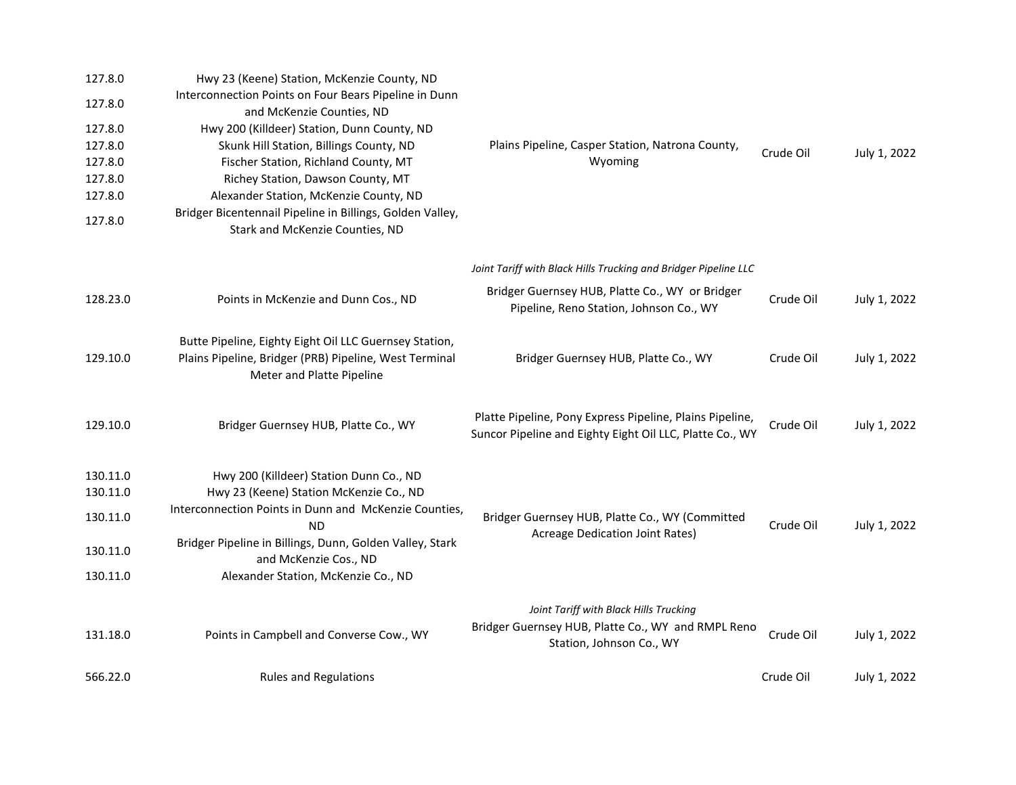| 127.8.0  | Hwy 23 (Keene) Station, McKenzie County, ND                                                                                                   |                                                                                                                      |           |              |
|----------|-----------------------------------------------------------------------------------------------------------------------------------------------|----------------------------------------------------------------------------------------------------------------------|-----------|--------------|
| 127.8.0  | Interconnection Points on Four Bears Pipeline in Dunn<br>and McKenzie Counties, ND                                                            |                                                                                                                      |           |              |
| 127.8.0  | Hwy 200 (Killdeer) Station, Dunn County, ND                                                                                                   |                                                                                                                      |           |              |
| 127.8.0  | Skunk Hill Station, Billings County, ND                                                                                                       | Plains Pipeline, Casper Station, Natrona County,                                                                     | Crude Oil |              |
| 127.8.0  | Fischer Station, Richland County, MT                                                                                                          | Wyoming                                                                                                              |           | July 1, 2022 |
| 127.8.0  | Richey Station, Dawson County, MT                                                                                                             |                                                                                                                      |           |              |
| 127.8.0  | Alexander Station, McKenzie County, ND                                                                                                        |                                                                                                                      |           |              |
| 127.8.0  | Bridger Bicentennail Pipeline in Billings, Golden Valley,<br>Stark and McKenzie Counties, ND                                                  |                                                                                                                      |           |              |
|          |                                                                                                                                               | Joint Tariff with Black Hills Trucking and Bridger Pipeline LLC                                                      |           |              |
| 128.23.0 | Points in McKenzie and Dunn Cos., ND                                                                                                          | Bridger Guernsey HUB, Platte Co., WY or Bridger<br>Pipeline, Reno Station, Johnson Co., WY                           | Crude Oil | July 1, 2022 |
| 129.10.0 | Butte Pipeline, Eighty Eight Oil LLC Guernsey Station,<br>Plains Pipeline, Bridger (PRB) Pipeline, West Terminal<br>Meter and Platte Pipeline | Bridger Guernsey HUB, Platte Co., WY                                                                                 | Crude Oil | July 1, 2022 |
| 129.10.0 | Bridger Guernsey HUB, Platte Co., WY                                                                                                          | Platte Pipeline, Pony Express Pipeline, Plains Pipeline,<br>Suncor Pipeline and Eighty Eight Oil LLC, Platte Co., WY | Crude Oil | July 1, 2022 |
| 130.11.0 | Hwy 200 (Killdeer) Station Dunn Co., ND                                                                                                       |                                                                                                                      |           |              |
| 130.11.0 | Hwy 23 (Keene) Station McKenzie Co., ND                                                                                                       |                                                                                                                      |           |              |
| 130.11.0 | Interconnection Points in Dunn and McKenzie Counties,<br><b>ND</b>                                                                            | Bridger Guernsey HUB, Platte Co., WY (Committed                                                                      | Crude Oil | July 1, 2022 |
| 130.11.0 | Bridger Pipeline in Billings, Dunn, Golden Valley, Stark<br>and McKenzie Cos., ND                                                             | Acreage Dedication Joint Rates)                                                                                      |           |              |
| 130.11.0 | Alexander Station, McKenzie Co., ND                                                                                                           |                                                                                                                      |           |              |
|          |                                                                                                                                               | Joint Tariff with Black Hills Trucking                                                                               |           |              |
| 131.18.0 | Points in Campbell and Converse Cow., WY                                                                                                      | Bridger Guernsey HUB, Platte Co., WY and RMPL Reno<br>Station, Johnson Co., WY                                       | Crude Oil | July 1, 2022 |
| 566.22.0 | <b>Rules and Regulations</b>                                                                                                                  |                                                                                                                      | Crude Oil | July 1, 2022 |